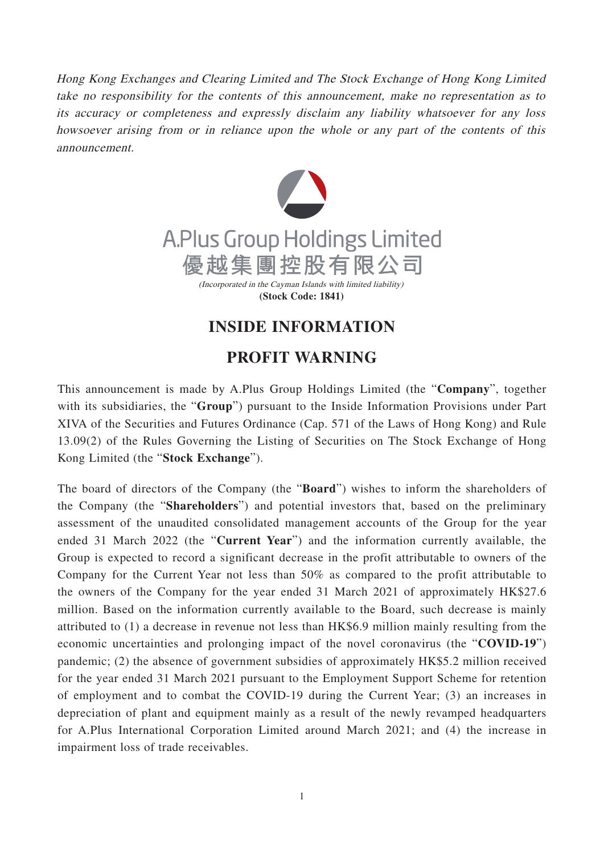Hong Kong Exchanges and Clearing Limited and The Stock Exchange of Hong Kong Limited take no responsibility for the contents of this announcement, make no representation as to its accuracy or completeness and expressly disclaim any liability whatsoever for any loss howsoever arising from or in reliance upon the whole or any part of the contents of this announcement.



## **INSIDE INFORMATION**

## **PROFIT WARNING**

This announcement is made by A.Plus Group Holdings Limited (the "**Company**", together with its subsidiaries, the "**Group**") pursuant to the Inside Information Provisions under Part XIVA of the Securities and Futures Ordinance (Cap. 571 of the Laws of Hong Kong) and Rule 13.09(2) of the Rules Governing the Listing of Securities on The Stock Exchange of Hong Kong Limited (the "**Stock Exchange**").

The board of directors of the Company (the "**Board**") wishes to inform the shareholders of the Company (the "**Shareholders**") and potential investors that, based on the preliminary assessment of the unaudited consolidated management accounts of the Group for the year ended 31 March 2022 (the "**Current Year**") and the information currently available, the Group is expected to record a significant decrease in the profit attributable to owners of the Company for the Current Year not less than 50% as compared to the profit attributable to the owners of the Company for the year ended 31 March 2021 of approximately HK\$27.6 million. Based on the information currently available to the Board, such decrease is mainly attributed to (1) a decrease in revenue not less than HK\$6.9 million mainly resulting from the economic uncertainties and prolonging impact of the novel coronavirus (the "**COVID-19**") pandemic; (2) the absence of government subsidies of approximately HK\$5.2 million received for the year ended 31 March 2021 pursuant to the Employment Support Scheme for retention of employment and to combat the COVID-19 during the Current Year; (3) an increases in depreciation of plant and equipment mainly as a result of the newly revamped headquarters for A.Plus International Corporation Limited around March 2021; and (4) the increase in impairment loss of trade receivables.